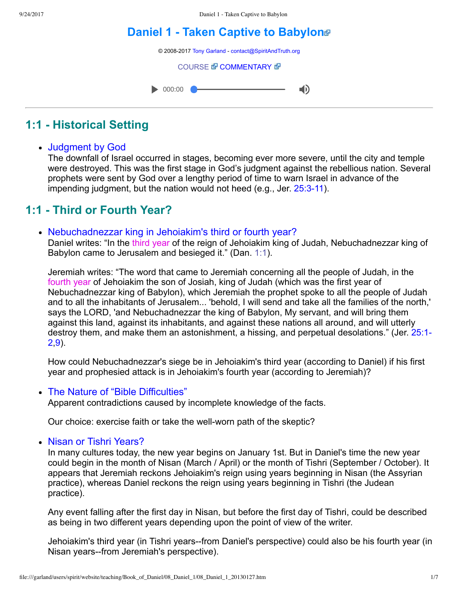# **[Daniel 1 Taken Captive to Babylon](file:///garland/users/spirit/website/teaching/Book_of_Daniel/08_Daniel_1/index.htm)**



# **1:1 Historical Setting**

### Judgment by God

The downfall of Israel occurred in stages, becoming ever more severe, until the city and temple were destroyed. This was the first stage in God's judgment against the rebellious nation. Several prophets were sent by God over a lengthy period of time to warn Israel in advance of the impending judgment, but the nation would not heed (e.g., Jer. 25:3-11).

# **1:1 Third or Fourth Year?**

#### Nebuchadnezzar king in Jehoiakim's third or fourth year?

Daniel writes: "In the third year of the reign of Jehoiakim king of Judah, Nebuchadnezzar king of Babylon came to Jerusalem and besieged it." (Dan. [1:1](http://www.spiritandtruth.org/bibles/nasb/b27c001.htm#Dan._C1V1)).

Jeremiah writes: "The word that came to Jeremiah concerning all the people of Judah, in the fourth year of Jehoiakim the son of Josiah, king of Judah (which was the first year of Nebuchadnezzar king of Babylon), which Jeremiah the prophet spoke to all the people of Judah and to all the inhabitants of Jerusalem... 'behold, I will send and take all the families of the north,' says the LORD, 'and Nebuchadnezzar the king of Babylon, My servant, and will bring them against this land, against its inhabitants, and against these nations all around, and will utterly [destroy them, and make them an astonishment, a hissing, and perpetual desolations." \(Jer. 25:1](http://www.spiritandtruth.org/bibles/nasb/b24c025.htm#Jer._C25V1)-2[,9\)](http://www.spiritandtruth.org/bibles/nasb/b24c025.htm#Jer._C25V9).

How could Nebuchadnezzar's siege be in Jehoiakim's third year (according to Daniel) if his first year and prophesied attack is in Jehoiakim's fourth year (according to Jeremiah)?

#### • The Nature of "Bible Difficulties"

Apparent contradictions caused by incomplete knowledge of the facts.

Our choice: exercise faith or take the well-worn path of the skeptic?

#### • Nisan or Tishri Years?

In many cultures today, the new year begins on January 1st. But in Daniel's time the new year could begin in the month of Nisan (March / April) or the month of Tishri (September / October). It appears that Jeremiah reckons Jehoiakim's reign using years beginning in Nisan (the Assyrian practice), whereas Daniel reckons the reign using years beginning in Tishri (the Judean practice).

Any event falling after the first day in Nisan, but before the first day of Tishri, could be described as being in two different years depending upon the point of view of the writer.

Jehoiakim's third year (in Tishri years--from Daniel's perspective) could also be his fourth year (in Nisan years--from Jeremiah's perspective).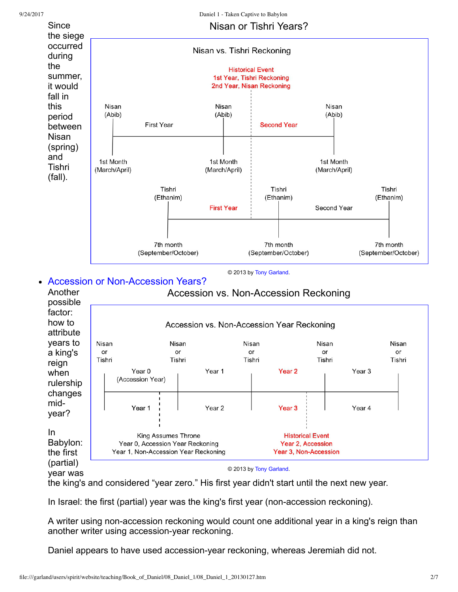

the king's and considered "year zero." His first year didn't start until the next new year.

In Israel: the first (partial) year was the king's first year (non-accession reckoning).

A writer using non-accession reckoning would count one additional year in a king's reign than another writer using accession-year reckoning.

Daniel appears to have used accession-year reckoning, whereas Jeremiah did not.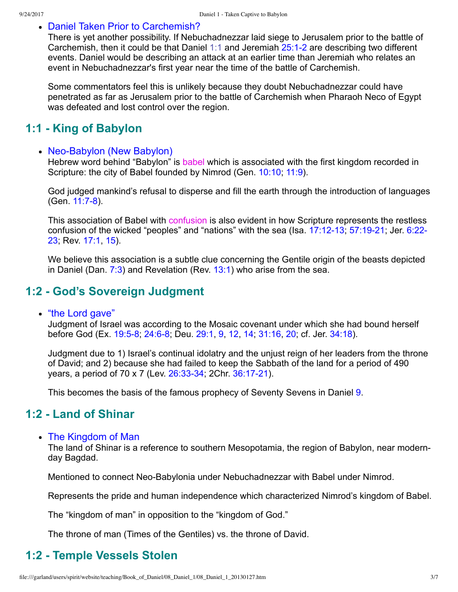#### Daniel Taken Prior to Carchemish?

There is yet another possibility. If Nebuchadnezzar laid siege to Jerusalem prior to the battle of Carchemish, then it could be that Daniel [1:1](http://www.spiritandtruth.org/bibles/nasb/b27c001.htm#Dan._C1V1) and Jeremiah  $25:1-2$  are describing two different events. Daniel would be describing an attack at an earlier time than Jeremiah who relates an event in Nebuchadnezzar's first year near the time of the battle of Carchemish.

Some commentators feel this is unlikely because they doubt Nebuchadnezzar could have penetrated as far as Jerusalem prior to the battle of Carchemish when Pharaoh Neco of Egypt was defeated and lost control over the region.

## **1:1 King of Babylon**

#### • Neo-Babylon (New Babylon)

Hebrew word behind "Babylon" is babel which is associated with the first kingdom recorded in Scripture: the city of Babel founded by Nimrod (Gen. [10:10;](http://www.spiritandtruth.org/bibles/nasb/b01c010.htm#Gen._C10V10) [11:9\)](http://www.spiritandtruth.org/bibles/nasb/b01c011.htm#Gen._C11V9).

God judged mankind's refusal to disperse and fill the earth through the introduction of languages (Gen. 11:7-8).

This association of Babel with confusion is also evident in how Scripture represents the restless confusion of the wicked "peoples" and "nations" with the sea (Isa.  $17:12-13$ ,  $57:19-21$ ; Jer.  $6:22-$ 23; Rev. [17:1,](http://www.spiritandtruth.org/bibles/nasb/b66c017.htm#Rev._C17V1) [15\)](http://www.spiritandtruth.org/bibles/nasb/b66c017.htm#Rev._C17V15).

We believe this association is a subtle clue concerning the Gentile origin of the beasts depicted in Daniel (Dan. [7:3\)](http://www.spiritandtruth.org/bibles/nasb/b27c007.htm#Dan._C7V3) and Revelation (Rev. [13:1\)](http://www.spiritandtruth.org/bibles/nasb/b66c013.htm#Rev._C13V1) who arise from the sea.

### **1:2 God's Sovereign Judgment**

#### • "the Lord gave"

Judgment of Israel was according to the Mosaic covenant under which she had bound herself before God (Ex. 19:5-8; 24:6-8; Deu. [29:1](http://www.spiritandtruth.org/bibles/nasb/b05c029.htm#Deu._C29V1), [9](http://www.spiritandtruth.org/bibles/nasb/b05c029.htm#Deu._C29V9), [12](http://www.spiritandtruth.org/bibles/nasb/b05c029.htm#Deu._C29V12), [14](http://www.spiritandtruth.org/bibles/nasb/b05c029.htm#Deu._C29V14); [31:16,](http://www.spiritandtruth.org/bibles/nasb/b05c031.htm#Deu._C31V16) [20;](http://www.spiritandtruth.org/bibles/nasb/b05c031.htm#Deu._C31V20) cf. Jer. [34:18\)](http://www.spiritandtruth.org/bibles/nasb/b24c034.htm#Jer._C34V18).

Judgment due to 1) Israel's continual idolatry and the unjust reign of her leaders from the throne of David; and 2) because she had failed to keep the Sabbath of the land for a period of 490 years, a period of 70 x 7 (Lev. 26:33-34; 2Chr. 36:17-21).

This becomes the basis of the famous prophecy of Seventy Sevens in Daniel [9.](http://www.spiritandtruth.org/bibles/nasb/b27c009.htm#Dan._C9V1)

## **1:2 Land of Shinar**

#### • The Kingdom of Man

The land of Shinar is a reference to southern Mesopotamia, the region of Babylon, near modernday Bagdad.

Mentioned to connect Neo-Babylonia under Nebuchadnezzar with Babel under Nimrod.

Represents the pride and human independence which characterized Nimrod's kingdom of Babel.

The "kingdom of man" in opposition to the "kingdom of God."

The throne of man (Times of the Gentiles) vs. the throne of David.

## **1:2 Temple Vessels Stolen**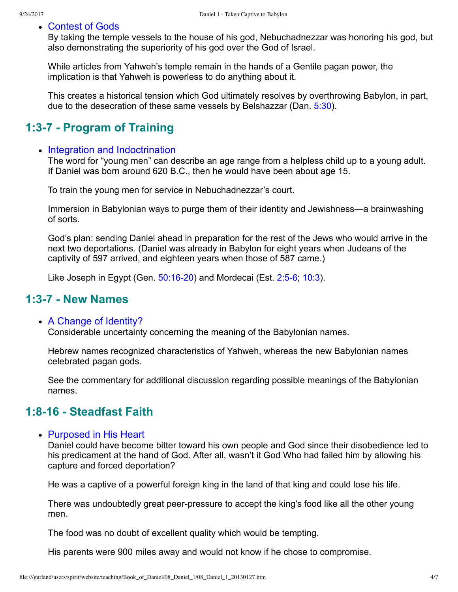#### Contest of Gods

By taking the temple vessels to the house of his god, Nebuchadnezzar was honoring his god, but also demonstrating the superiority of his god over the God of Israel.

While articles from Yahweh's temple remain in the hands of a Gentile pagan power, the implication is that Yahweh is powerless to do anything about it.

This creates a historical tension which God ultimately resolves by overthrowing Babylon, in part, due to the desecration of these same vessels by Belshazzar (Dan. [5:30](http://www.spiritandtruth.org/bibles/nasb/b27c005.htm#Dan._C5V30)).

## **1:37 Program of Training**

#### • Integration and Indoctrination

The word for "young men" can describe an age range from a helpless child up to a young adult. If Daniel was born around 620 B.C., then he would have been about age 15.

To train the young men for service in Nebuchadnezzar's court.

Immersion in Babylonian ways to purge them of their identity and Jewishness—a brainwashing of sorts.

God's plan: sending Daniel ahead in preparation for the rest of the Jews who would arrive in the next two deportations. (Daniel was already in Babylon for eight years when Judeans of the captivity of 597 arrived, and eighteen years when those of 587 came.)

Like Joseph in Egypt (Gen.  $50:16-20$ ) and Mordecai (Est.  $2:5-6$ ; [10:3\)](http://www.spiritandtruth.org/bibles/nasb/b17c010.htm#Est._C10V3).

## **1:37 New Names**

#### A Change of Identity?

Considerable uncertainty concerning the meaning of the Babylonian names.

Hebrew names recognized characteristics of Yahweh, whereas the new Babylonian names celebrated pagan gods.

See the commentary for additional discussion regarding possible meanings of the Babylonian names.

## **1:816 Steadfast Faith**

• Purposed in His Heart

Daniel could have become bitter toward his own people and God since their disobedience led to his predicament at the hand of God. After all, wasn't it God Who had failed him by allowing his capture and forced deportation?

He was a captive of a powerful foreign king in the land of that king and could lose his life.

There was undoubtedly great peer-pressure to accept the king's food like all the other young men.

The food was no doubt of excellent quality which would be tempting.

His parents were 900 miles away and would not know if he chose to compromise.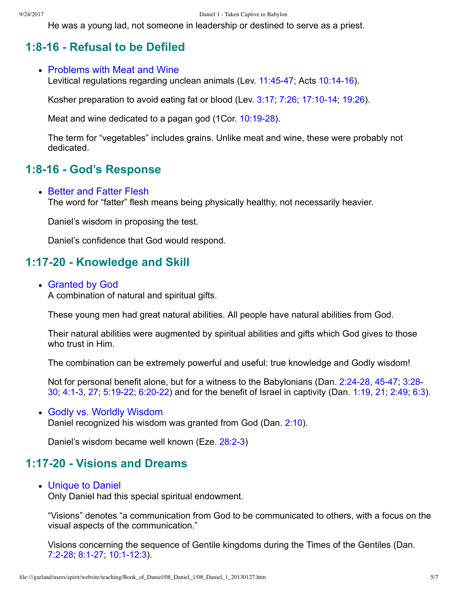He was a young lad, not someone in leadership or destined to serve as a priest.

## **1:816 Refusal to be Defiled**

#### • Problems with Meat and Wine

Levitical regulations regarding unclean animals (Lev.  $11:45-47$ ; Acts  $10:14-16$ ).

Kosher preparation to avoid eating fat or blood (Lev.  $3:17$ ,  $7:26$ ;  $17:10-14$ ; [19:26\)](http://www.spiritandtruth.org/bibles/nasb/b03c019.htm#Lev._C19V26).

Meat and wine dedicated to a pagan god (1Cor. 10:19-28).

The term for "vegetables" includes grains. Unlike meat and wine, these were probably not dedicated.

## **1:816 God's Response**

#### • Better and Fatter Flesh

The word for "fatter" flesh means being physically healthy, not necessarily heavier.

Daniel's wisdom in proposing the test.

Daniel's confidence that God would respond.

## **1:1720 Knowledge and Skill**

#### Granted by God

A combination of natural and spiritual gifts.

These young men had great natural abilities. All people have natural abilities from God.

Their natural abilities were augmented by spiritual abilities and gifts which God gives to those who trust in Him.

The combination can be extremely powerful and useful: true knowledge and Godly wisdom!

Not for personal benefit alone, but for a witness to the Babylonians (Dan. 2:24-28, 45-47, 3:28-30; [4:13](http://www.spiritandtruth.org/bibles/nasb/b27c004.htm#Dan._C4V1), [27;](http://www.spiritandtruth.org/bibles/nasb/b27c004.htm#Dan._C4V27) [5:1922;](http://www.spiritandtruth.org/bibles/nasb/b27c005.htm#Dan._C5V19) [6:2022](http://www.spiritandtruth.org/bibles/nasb/b27c006.htm#Dan._C6V20)) and for the benefit of Israel in captivity (Dan. [1:19,](http://www.spiritandtruth.org/bibles/nasb/b27c001.htm#Dan._C1V19) [21](http://www.spiritandtruth.org/bibles/nasb/b27c001.htm#Dan._C1V21); [2:49](http://www.spiritandtruth.org/bibles/nasb/b27c002.htm#Dan._C2V49); [6:3](http://www.spiritandtruth.org/bibles/nasb/b27c006.htm#Dan._C6V3)).

#### Godly vs. Worldly Wisdom Daniel recognized his wisdom was granted from God (Dan. [2:10\)](http://www.spiritandtruth.org/bibles/nasb/b27c002.htm#Dan._C2V10).

Daniel's wisdom became well known (Eze. 28:2-3)

## **1:1720 Visions and Dreams**

• Unique to Daniel

Only Daniel had this special spiritual endowment.

"Visions" denotes "a communication from God to be communicated to others, with a focus on the visual aspects of the communication."

Visions concerning the sequence of Gentile kingdoms during the Times of the Gentiles (Dan. 7:2-28; 8:1-27; 10:1-12[:3](http://www.spiritandtruth.org/bibles/nasb/b27c010.htm#Dan._C10V3)).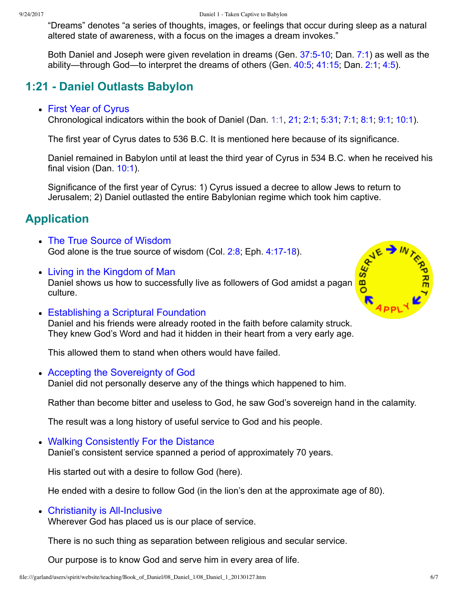"Dreams" denotes "a series of thoughts, images, or feelings that occur during sleep as a natural altered state of awareness, with a focus on the images a dream invokes."

Both Daniel and Joseph were given revelation in dreams (Gen.  $37:5-10$ ; Dan.  $7:1$ ) as well as the ability—through God—to interpret the dreams of others (Gen. [40:5;](http://www.spiritandtruth.org/bibles/nasb/b01c040.htm#Gen._C40V5) [41:15;](http://www.spiritandtruth.org/bibles/nasb/b01c041.htm#Gen._C41V15) Dan. [2:1](http://www.spiritandtruth.org/bibles/nasb/b27c002.htm#Dan._C2V1); [4:5\)](http://www.spiritandtruth.org/bibles/nasb/b27c004.htm#Dan._C4V5).

# **1:21 Daniel Outlasts Babylon**

#### First Year of Cyrus

Chronological indicators within the book of Daniel (Dan. [1:1](http://www.spiritandtruth.org/bibles/nasb/b27c001.htm#Dan._C1V1), [21](http://www.spiritandtruth.org/bibles/nasb/b27c001.htm#Dan._C1V21); [2:1;](http://www.spiritandtruth.org/bibles/nasb/b27c002.htm#Dan._C2V1) [5:31;](http://www.spiritandtruth.org/bibles/nasb/b27c005.htm#Dan._C5V31) [7:1;](http://www.spiritandtruth.org/bibles/nasb/b27c007.htm#Dan._C7V1) [8:1](http://www.spiritandtruth.org/bibles/nasb/b27c008.htm#Dan._C8V1); [9:1;](http://www.spiritandtruth.org/bibles/nasb/b27c009.htm#Dan._C9V1) [10:1\)](http://www.spiritandtruth.org/bibles/nasb/b27c010.htm#Dan._C10V1).

The first year of Cyrus dates to 536 B.C. It is mentioned here because of its significance.

Daniel remained in Babylon until at least the third year of Cyrus in 534 B.C. when he received his final vision (Dan.  $10:1$ ).

Significance of the first year of Cyrus: 1) Cyrus issued a decree to allow Jews to return to Jerusalem; 2) Daniel outlasted the entire Babylonian regime which took him captive.

# **Application**

- The True Source of Wisdom God alone is the true source of wisdom (Col.  $2:8$ ; Eph.  $4:17-18$ ).
- Living in the Kingdom of Man Daniel shows us how to successfully live as followers of God amidst a pagan culture.
- Establishing a Scriptural Foundation Daniel and his friends were already rooted in the faith before calamity struck. They knew God's Word and had it hidden in their heart from a very early age.

This allowed them to stand when others would have failed.

Accepting the Sovereignty of God

Daniel did not personally deserve any of the things which happened to him.

Rather than become bitter and useless to God, he saw God's sovereign hand in the calamity.

The result was a long history of useful service to God and his people.

Walking Consistently For the Distance

Daniel's consistent service spanned a period of approximately 70 years.

His started out with a desire to follow God (here).

He ended with a desire to follow God (in the lion's den at the approximate age of 80).

#### $\bullet$  Christianity is All-Inclusive

Wherever God has placed us is our place of service.

There is no such thing as separation between religious and secular service.

Our purpose is to know God and serve him in every area of life.